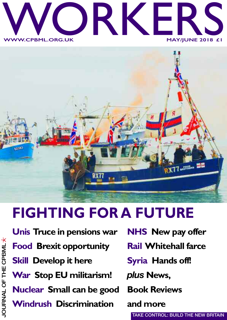



## **FIGHTING FOR A FUTURE**

**Unis Truce in pensions war Food Brexit opportunity Skill Develop it here War Stop EU militarism! Nuclear Small can be good Windrush Discrimination**

**NHS New pay offer**

- **Rail Whitehall farce**
- **Syria Hands off!**

*plus* **News,**

**Book Reviews**

**and more**

**TAKE CONTROL: BUILD THE NEW BRITAIN**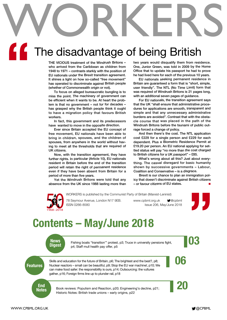# WORKERS The disadvantage of being British **"**

**THE VICIOUS treatment of the Windrush Britons – who arrived from the Caribbean as children from 1948 to 1971 – contrasts starkly with the position of EU nationals under the Brexit transition agreement. It shines <sup>a</sup> light on how so-called "free movement" has operated to discriminate against British people (whether of Commonwealth origin or not).**

**To focus on alleged bureaucratic bungling is to miss the point. The machinery of government can be efficient when it wants to be. At heart the problem is that no government – not for for decades – has grasped why the British people think it ought to have <sup>a</sup> migration policy that favours British workers.**

**In fact, this government and its predecessors have wanted to move in the opposite direction.**

**Ever since Britain accepted the EU concept of free movement, EU nationals have been able to bring in children, spouses, and the children of spouses, from anywhere in the world without having to meet all the thresholds that are required of UK citizens.**

**Now, with the transition agreement, they have further rights. In particular (Article 10), EU nationals resident in Britain before the end of the transition period will retain the right of permanent residence even if they have been absent from Britain for <sup>a</sup> period of more than five years.**

**Yet the Windrush Britons were told that any absence from the UK since 1988 lasting more than** **two years would disqualify them from residence. One, Junior Green, was told in 2009 by the Home Office that to update his passport he had to prove he had lived here for each of the previous 10 years.**

**EU nationals seeking permanent residence in Britain are guaranteed <sup>a</sup> form that is "short, simple, user friendly". The NTL (No Time Limit) form that was required of Windrush Britons is 21 pages long, with an additional seven pages of guidance.**

**For EU nationals, the transition agreement says that the UK "shall ensure that administrative procedures for applications are smooth, transparent and simple and that any unnecessary administrative burdens are avoided". Contrast that with the obstacle course that was placed in the path of the Windrush Britons before the tsunami of public outrage forced <sup>a</sup> change of policy.**

**And then there's the cost. The NTL application cost £229 for <sup>a</sup> single person and £229 for each dependent. Plus <sup>a</sup> Biometric Residence Permit at £19.20 per person. An EU national applying for settled status will pay "no more than the cost charged to British citizens for <sup>a</sup> UK passport" – £85.**

**What's wrong about all this? Just about everything. The casual disregard for basic humanity shown by successive governments – Labour, Coalition and Conservative – is <sup>a</sup> disgrace.**

**Brexit is our chance to plan an immigration policy that doesn't discriminate against British citizens – or favour citizens of EU states. ■**



WORKERS is published by the Communist Party of Britain (Marxist-Leninist)

78 Seymour Avenue, London N17 9EB. www.cpbml.org.uk **@cpbml** WORKERS IS published by the Communist Party of Britain (Marxist-Leninist)<br>78 Seymour Avenue, London N17 9EB. www.cpbml.org.uk W@cpbml<br>1968–2018<br>1968–2018



## **Contents – May/June 2018**



News<br>Digest Fishing boats "transition" protest, p3; Truce in university pensions fight, Fishing boats "transition'" protest, p3; Truce in university pensions fight, p4; Staff mull health pay offer, p5

**Features** Skills and education for the future of Britain, p6; The brightest and the best?, p8;<br>Nuclear reactors – small can be beautiful, p9; Stop the EU war machine!, p10; We Skills and education for the future of Britain, p6; The brightest and the best?, p8; can make food safer: the responsibility is ours, p14; Outsourcing: the vultures gather, p16; Foreign firms line up to plunder rail, p18

**End<br>Notes** 

Book reviews: Populism and Reaction, p20; Engineering's decline, p21; Historic Notes: British trade unions – early origins, p22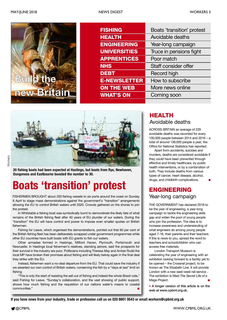

| <b>FISHING</b>      | Boats 'transition' protest |
|---------------------|----------------------------|
| <b>HEALTH</b>       | Avoidable deaths           |
| <b>ENGINEERING</b>  | Year-long campaign         |
| <b>UNIVERSITIES</b> | Truce in pensions fight    |
| <b>APPRENTICES</b>  | Poor match                 |
| <b>NHS</b>          | Staff consider offer       |
| <b>DEBT</b>         | Record high                |
| <b>E-NEWSLETTER</b> | How to subscribe           |
| <b>ON THE WEB</b>   | More news online           |
| <b>WHAT'S ON</b>    | Coming soon                |
|                     |                            |



**20 fishing boats had been expected at Hastings, but boats from Rye, Newhaven, Dungeness and Eastbourne boosted the number to 30.**

## **Boats 'transition' protest**

FISHERMEN BROUGHT about 200 fishing vessels to six ports around the coast on Sunday 8 April to stage mass demonstrations against the government's "transition" arrangements allowing the EU to control British waters until 2020. Crowds gathered on the shores to join the protest.

In Whitstable a fishing boat was symbolically burnt to demonstrate the likely fate of what remains of the British fishing fleet after 40 years of EU plunder of our waters. During the "transition" the EU will have control and power to impose even smaller quotas on British fishermen.

Fishing for Leave, which organised the demonstrations, pointed out that 60 per cent of the British fishing fleet has been deliberately scrapped under government programmes while other EU countries have built boats with EU grants to fish our waters.

Other armadas formed in Hastings, Milford Haven, Plymouth, Portsmouth and Newcastle. In Hastings local fishermen's relatives, standing ashore, said the prospects for their survival in the industry are poor. Politicians including Theresa May and Amber Rudd the local MP have broken their promises about fishing and will likely betray again in the final deal they strike with the EU.

Instead, fishermen want a no-deal departure from the EU. That could save the industry if we asserted our own control of British waters, conserving the fish by a "days at sea" limit on fishing.

"This is only the start of resisting the sell out of fishing and indeed the whole Brexit vote," said Fishing for Leave. "Sunday's collaboration, and the vast showing of public support, shows how much fishing and the requisition of our nations water's means to coastal communities."

#### Avoidable deaths **HEALTH**

ACROSS BRITAIN an average of 229 avoidable deaths was recorded for every 100,000 people between 2014 and 2016 – a total of around 138,000 people a year, the Office for National Statistics has reported.

Apart from accidents, suicides and murders, deaths are considered avoidable if they could have been prevented through effective and timely healthcare, by public health interventions, or by a combination of both. They include deaths from various types of cancer, heart disease, alcohol, drugs, and childbirth complications. **■**

#### Year-long campaign **ENGINEERING**

THE GOVERNMENT has declared 2018 to be the year of engineering, a year-long campaign to tackle the engineering skills gap and widen the pool of young people who join the profession. The idea is to increase awareness and understanding of what engineers do among young people aged 7-16, their parents and their teachers. If this is news to you, spread the word to teachers and schoolchildren who can access free materials.

London Transport Museum is celebrating the year of engineering with an exhibition looking forward to a facility yet to be opened – the Crossrail project, to be known as The Elizabeth Line. It will provide London with a new east–west rail service . The exhibition is titled *The Secret Life of a Mega Project*. **■**

**• A longer version of this article is on the web at www.cpbml.org.uk.**

If you have news from your industry, trade or profession call us on 020 8801 9543 or email workers@cpbml.org.uk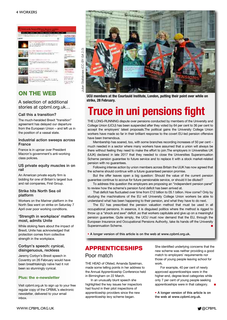

#### **ON THE WEB**

#### A selection of additional stories at cpbml.org.uk...

#### **Call this a transition?**

The much-heralded Brexit "transition" agreement has delayed our departure from the European Union – and left us in the position of a vassal state.

#### **Industrial action sweeps across France**

France is in uproar over President Macron's government's anti-working class policies.

#### **US private equity muscles in on rail**

An American private equity firm is bidding for one of Britain's largest bus and rail companies, First Group.

#### **Strike hits North Sea oil platform**

Workers on the Mariner platform in the North Sea went on strike on Saturday 7 April over poor working conditions.

#### **'Strength in workplace' matters most, admits Unite**

While stoking fears about the impact of Brexit, Unite has acknowledged that protection comes from collective strength in the workplace.

#### **Corbyn's speech: cynical, disingenuous, reckless**

Jeremy Corbyn's Brexit speech in Coventry on 26 February would have been breathtakingly naïve had it not been so stunningly cynical.

#### **Plus: the e-newsletter**

Visit cpbml.org.uk to sign up to your free regular copy of the CPBML's electronic newsletter, delivered to your email inbox.



**UCU members at the Courtauld Institute, London, putting their point over while on strike, 28 February.**

## **Truce in uni pensions fight**

THE LONG-RUNNING dispute over pensions conducted by members of the University and College Union (UCU) has been suspended after they voted by 64 per cent to 36 per cent to accept the employers' latest proposals.The political gains the University College Union workers have made so far in their brilliant response to the covert EU-led pension offensive have been tremendous.

Membership has soared, too, with some branches recording increases of 50 per cent – much needed in a sector where many workers have assumed that a union will always be there without feeling they need to make the effort to join.The employers in Universities UK (UUK) declared in late 2017 that they needed to close the Universities Superannuation Scheme pension guarantee to future service and to replace it with a stock market-related pension with no guarantees.

Following intense action by union members across Britain the UUK has now agreed that the scheme should continue with a future guaranteed pension promise.

But the offer leaves open a big question: Should the value of the current pension guarantee continue to accrue for future pensionable service, or should it be diluted?

To address this question the employers are proposing an "independent pension panel" to review how the scheme's pension fund deficit has been arrived at.

That deficit has fluctuated over time from £12 billion to £6.1 billion. How come? Only by studying the machinations of the EU will University College Union workers be able to understand what has been happening to their pension, and what they have to do next.

The EU has prescribed the pension valuation method that must be used in all occupational pensions. In essence, it is disguised politics where the method is rigged to throw up a "shock and awe" deficit ,so that workers capitulate and give up on a meaningful pension guarantee. Quite simply, the UCU must now demand that the EU, through the European Insurance and Occupational Pensions Authority, take its hands off the University Superannuation Scheme.

**• A longer version of this article is on the web at www.cpbml.org.uk.**

#### **APPRENTICESHIPS** Poor match

THE HEAD of Ofsted, Amanda Spielman, made some telling points in her address to the Annual Apprenticeship Conference held in Birmingham on 22 March.

In an unusually blunt speech she highlighted the key issues her inspectors had found in their pilot inspections of apprenticeship providers since the new apprenticeship levy scheme began.

She identified underlying concerns that the new scheme was neither providing a good match to employers' requirements nor those of young people leaving school for work.

For example, 40 per cent of newly approved apprenticeships were in the higher-end, degree-level categories while only 7 per cent of young people seeking apprenticeships were in that category. **■**

**• A longer version of this article is on the web at www.cpbml.org.uk.**

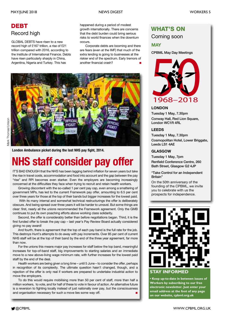### **DEBT** Record high

GLOBAL DEBTS have risen to a new record high of £167 trillion, a rise of £21 trillion compared with 2016, according to the Institute of International Finance. Debts have risen particularly sharply in China, Argentina, Nigeria and Turkey. This has

happened during a period of modest growth internationally. There are concerns that the debt burden could bring serious risks to world finances when the downturn occurs.

Corporate debts are booming and there are fears (even at the IMF) that much of the extra lending is going to businesses at the riskier end of the spectrum. Early tremors of another financial crash? **■**



**London Ambulance picket during the last NHS pay fight, 2014.**

## **NHS staff consider pay offer**

IT'S BAD ENOUGH that the NHS has been lagging behind inflation for seven years but take the rise in travel costs, accommodation and food into account and the gap between the pay "rise" and RPI becomes even starker. Even the employers are becoming increasingly concerned at the difficulties they face when trying to recruit and retain health workers.

Growing discontent with the so-called 1 per cent pay cap, even among a smattering of government MPs, has led to the current Framework pay offer, amounting to 6.5 per cent over three years for those at the top of their bands but bigger increases for the lowest paid.

With its many internal and somewhat technical restructurings the offer is deliberately obscure. And being spread over three years it will be harder to unravel. But some things are clear: first, nearly all the unions recommended the Framework agreement. Only the GMB continues to put its own poaching efforts above working class solidarity.

Second, the offer is considerably better than before negotiations began. Third, it is the first funded offer to break the pay cap – last year's Pay Review Board actually considered giving no pay award!

And fourth, there is agreement that the top of each pay band is the full rate for the job. This destroys Hunt's attempts to do away with pay increments. Over 85 per cent of current NHS staff will be at the top of their band by the end of the three year agreement, far more than now.

For the unions this means major pay increases for staff below the top band, meaningful increases for top-of-band staff, big improvements to starting salaries and an immediate move to a new above-living wage minimum rate, with further increases for the lowest paid staff by the end of the deal.

Health workers are being given a long time – until 5 June – to consider the offer, perhaps in recognition of its complexity. The ultimate question hasn't changed, though, and a rejection of the offer is only real if workers are prepared to undertake industrial action to move the employers.

To do this would require mobilising more than 50 per cent of staff, more than half a million workers, to vote, and for half of these to vote in favour of action. An alternative future is a reversion to fighting locally instead of just nationally over pay, but the consciousness and organisation necessary for such a move lies some way off. **■**

#### **WHAT'S ON**

Coming soon

#### **MAY**

**CPBML May Day Meetings**



#### **LONDON**

**Tuesday 1 May, 7.30pm Conway Hall, Red Lion Square, London WC1R 4RL**

#### **LEEDS**

**Tuesday 1 May, 7.30pm Cosmopolitan Hotel, Lower Briggate, Leeds LS1 4AE**

#### **GLASGOW**

**Tuesday 1 May, 7pm**

**Renfield Conference Centre, 260 Bath Street, Glasgow G2 4JP**

**"Take Control for an Independent Britain"**

On the 50th anniversary of the founding of the CPBML, we invite you to celebrate with us the prospects for independence.



#### **STAY INFORMED**

**• Keep up-to-date in between issues of Workers by subscribing to our free electronic newsletter. Just enter your email address at the foot of any page on our website, cpbml.org.uk**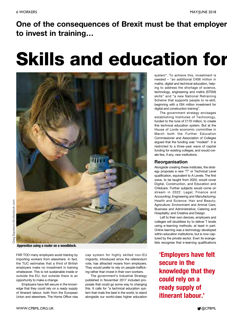## **One of the consequences of Brexit must be that employer to invest in training…**

## **Skills and education for**



**Apprentice using a router on a woodblock.**

FAR TOO many employers avoid training by importing workers from elsewhere. In fact, the TUC estimates that a third of British employers make no investment in training whatsoever. This is not sustainable inside or outside the EU, but outside there is an opportunity to make a change.

Employers have felt secure in the knowledge that they could rely on a ready supply of itinerant labour, both from the European Union and elsewhere. The Home Office visa

cap system for highly skilled non-EU migrants, introduced since the referendum vote, has attracted moans from employers. They would prefer to rely on people-trafficking rather than invest in their own workers.

The government's Industrial Strategy published in November 2017 included proposals that could go some way to changing this. It calls for "a technical education system that rivals the best in the world, to stand alongside our world-class higher education system". To achieve this, investment is needed – "an additional £406 million in maths, digital and technical education, helping to address the shortage of science, technology, engineering and maths (STEM) skills" and "a new National Retraining Scheme that supports people to re-skill, beginning with a £64 million investment for digital and construction training".

The government strategy envisages establishing Institutes of Technology, funded to the tune of £170 million, to create this technical education system. But at the House of Lords economic committee in March both the Further Education Commissioner and Association of Colleges argued that the funding was "modest". It is restricted to a three-year wave of capital funding for existing colleges, and would create few, if any, new institutions.

#### **Reorganisation**

Alongside creating these institutes, the strategy proposes a new "T" or Technical Level qualification, equivalent to A Levels. The first wave, to be taught from 2020, would cover Digital, Construction, and Education and Childcare. Further subjects would come on stream in 2022: Legal; Finance and Accounting; Engineering and Manufacturing; Health and Science; Hair and Beauty; Agriculture; Environment and Animal Care; Business and Administrative; Catering and Hospitality; and Creative and Design.

Left to their own devices, employers and colleges will doubtless try to deliver T levels using e-learning methods, at least in part. Online learning was a technology developed within education institutions, but is now captured by the private sector. Even its evangelists recognise that e-learning qualifications

**'Employers have felt secure in the knowledge that they could rely on a ready supply of itinerant labour.'**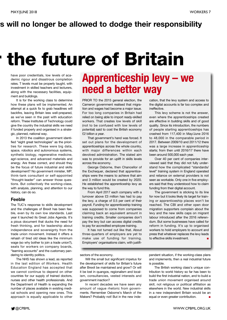### **rs will no longer be allowed to dodge their responsibility**

## **r the future of Britain**

have poor credentials, low levels of academic rigour and disastrous completion rates. T levels must be properly taught, with investment in skilled teachers and lecturers, along with the necessary facilities, equipment and buildings.

It is for the working class to determine how these plans will be implemented. An attempt at a quick fix to grab headlines will backfire, leaving Britain less well-prepared, as we've seen in the past with education reform. These Institutes of Technology could give the country the industrial skills we need if funded properly and organised in a strategic, planned, national way.

In 2013 the coalition government identified "eight great technologies" as the priorities for research. These were big data, space, robotics and autonomous systems, synthetic biology, regenerative medicine, agri-science, and advanced materials and energy. Are these correct, and should they be the focus of future industrial and skills development? No government minister, MP, think-tank consultant or self-appointed "thought-leader" can answer those questions. But collectively the working-class, with analysis, planning, and attention to our history, can do so.

#### **Feeble**

The TUC's response to skills development and the challenges of Brexit has been feeble, even by its own low standards. Last year it launched its Great Jobs Agenda. It's a pious document that ducks the need for fresh thinking, and for leadership about independence and sovereignty from the trade union movement. Instead it offers a rehash of tired old ideas like the minimum wage (so why bother to join a trade union?), seats for workers on company boards, "learning accounts" and the customary pandering to identity politics.

The NHS has shown a lead, as reported in the last edition of *Workers*. Health Education England has accepted that we cannot continue to depend on other countries for our supply of trained doctors, nurses and other health professionals. And the Department of Health is expanding the number of places available in existing medical schools and opening new ones. This approach is equally applicable to other

## **Apprenticeship levy – we need a better way**

PRIOR TO the 2015 general election, the Cameron government realised that migration and wages had become a major issue. For too long companies in Britain had relied on being able to import ready-skilled workers. That creates low levels of skill (not to be confused with low levels of potential) said to cost the British economy £2 billion a year.

That government's hand was forced. It set out plans for the development of apprenticeships across the whole country, with major differences within each devolved administration. The stated aim was to provide for an uplift in skills levels across the economy.

George Osborne, then Chancellor of the Exchequer, declared that apprenticeships were the means to achieve that aim and 3 million would be created by 2020. He established the apprenticeship levy as the way to fund this.

From April 2017 each company with a turnover above £3 million has had to pay the levy, a charge of 0.5 per cent of their payroll. Funding for apprenticeship training was supposed to come from companies claiming back an equivalent amount in training credits. Smaller companies don't pay the levy but can access digital credits to pay for accredited employee training.

It has not turned out like that. About three-quarters of employers are yet to make use of funding for training. Employers' organisations claim, with justification, that the levy system and access to the digital accounts is far too complex and ineffective.

This levy scheme is not the answer, even where the apprenticeships created are effective in building skills and of good quality. Since its introduction, the numbers of people starting apprenticeships has crashed from 117,400 in May/June 2016 to 48,000 in the comparable period in 2017. Between 2009/10 and 2011/12 there was a large increase in apprenticeship starts; from then until 2016/17 there have been around 500,000 each year.

Over 40 per cent of companies interviewed said that they did not fully understand how the complicated "standards/ level" training system in England operated and reliance on external providers is not seen as workable. Only one in five employers said that they understood how to claim funding from their digital account.

The government is sticking to its line for now but it looks likely its target for training or apprenticeship places won't be reached. The CBI and other open door migration supporters complain about the levy and the new skills caps on migrant labour introduced after the 2016 referendum. But some businesses have called for reform in funding. It's up to organised workers to hold employers to account and press that whatever replaces the levy leads to effective skills investment. **■**

sectors of the economy.

Will the small but significant impetus for the development of skills for Britain's future after Brexit be maintained and grow? Or will it be lost in quangos, regionalism and localism, consultancies, vested interests and government inaction?

In recent decades we have seen any amount of vague rhetoric from governments. Remember Osborne's March of the Makers? Probably not! But in the new independent situation, if the working-class plans and implements, then a real industrial future is possible.

The British working class's unique contribution to world history so far has been to build the first industrial nation, and to build a trade union movement organised around skill, not religious or political affiliation as elsewhere in the world. New industrial skills in a new independent Britain would be an equal or even greater contribution. **■**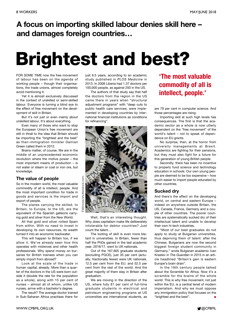### **A focus on importing skilled labour denies skill here – and damages foreign countries…**

## **Brightest and best?**

FOR SOME TIME now the free movement of labour has been on the agenda of working people – though their organisations, the trade unions, almost completely avoid mentioning it.

Yet it is almost exclusively discussed in the context of unskilled or semi-skilled labour. Everyone is turning a blind eye to the effect of free movement on the development of skill in Britain.

But it's not just or even mainly about unskilled labour. It's about everything.

Even many of those who want to stop the European Union's free movement are still in thrall to the idea that Britain should be importing the "brightest and the best" as then-immigration minister Damian Green called them in 2012.

Brains matter, of course. We are in the middle of an unprecedented economic revolution where the motive power – the most important means of production – is not water or steam or coal or iron ore, but knowledge.

#### **The value of people**

So in the modern world, the most valuable commodity of all is intellect, people. And the most important condition for trade in goods and services is the import and export of people.

The planes carrying the skilled, to Britain, to Europe, to the US, are the equivalent of the Spanish galleons carrying gold and silver from the New World.

All that gold and silver rotted Spain from within. With no need to invest in developing its own resources, its wealth turned it into an economic backwater.

This will happen to Britain too, if we allow it. We've already seen how this operates with midwives and other health professionals. Why spend money on bursaries for British trainees when you can simply import from abroad?

Look at the scale of the trade in human capital, already. More than a quarter of the doctors in the US were born outside it (double the rate for the population as a whole), along with 15 per cent of nurses – almost all of whom, unlike US nurses, arrive with a bachelor's degree.

The result? The average doctor trained in Sub-Saharan Africa practises there for

just 6.5 years, according to an academic study published in *PLOS Medicine* in 2013. In 2008 Liberia had 1.37 doctors per 100,000 people, as against 250 in the US.

The authors of that study say that half the doctors from the region in the US came there in years when "structural adjustment programs" with "deep cuts to public health care services, were implemented in developing countries by international financial institutions as conditions for refinancing".



Well, that's an interesting thought. Why does capitalism make life deliberately intolerable for debtor countries? Just count the talent…

The looting of skill is even more blatant in universities. In Britain, fewer than half the PhDs gained in the last academic year, 2016/17, went to UK nationals.

Out of the 167,605 graduate students (excluding PGCE), just 35 per cent (actually, fractionally fewer) were UK nationals, 12.5 per cent from the EU, and 52.5 per cent from the rest of the world. And the great majority of them stay in Britain after graduation.

We are moving in the direction of the US, where fully 81 per cent of full-time graduate students in electrical and petroleum engineering programs at US universities are international students, as

### **'The most valuable commodity of all is intellect, people.'**

are 79 per cent in computer science. And those percentages are rising.

Importing skill at such high levels has consequences. The first is that the academic sector as a whole is now utterly dependent on the "free movement" of the world's talent – not to speak of dependence on EU grants.

No surprise, then, at the horror from university managements at Brexit. Academics are fighting for their pensions, but they must also fight for a future for this generation of young British people.

Secondly, there has been no incentive to properly fund science and technology education in schools. Our own young people are deemed to be too expensive – how much easier to import people educated by other countries.

#### **Sucked dry**

And there's the effect on the developing world, on central and eastern Europe – indeed on anywhere outside Britain, the US, Canada, France, Germany and a couple of other countries. The poorer countries are systematically sucked dry of their intellectual talent and unable to develop their own hi-tech industries.

"Most of our best graduates do not apply to study at Bulgarian universities, thus depriving them of talent: after the Chinese, Bulgarians are now the second biggest foreign student community in Germany," wrote Bulgarian academic Ivan Krastev in *The Guardian* in 2015 in an article headlined "Britain's gain is eastern Europe's brain drain".

In the 19th century people talked about the Scramble for Africa. Now it's a scramble for the brains of the whole world. This is why free movement, not just within the EU, is a central tenet of modern imperialism. And why we must oppose any immigration policy that focuses on the "brightest and the best". **■**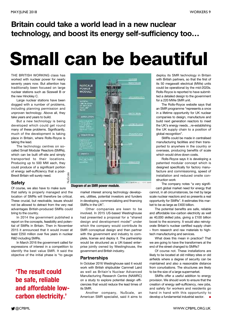### **Britain could take a world lead in a new nuclear technology, and boost its energy self-sufficiency too…**

## **Small can be beautiful**

THE BRITISH WORKING class has worked with nuclear power for nearly seventy years now. But attention has traditionally been focused on large nuclear stations such as Sizewell B or the new Hinckley C.

Large nuclear stations have been dogged with a number of problems, including planning permission and unproven technology. Above all, they take years and years to build.

But a new technology is being developed which could get round many of these problems. Significantly, much of the development is taking place in Britain, where Rolls-Royce is taking the lead.

The technology centres on socalled Small Modular Reactors (SMRs), which can be built off-site and simply transported to their locations. Producing up to 500 MW each, they could produce of a significant portion of energy self-sufficiency that a post-Brexit Britain will surely need.

#### **Safety**

Of course, we also have to make sure that safety is properly managed and the location of SMRs will therefore be critical. These crucial, but resolvable, issues should not be allowed to detract from the very real advantages British-produced SMRs could bring to the country.

In 2014 the government published a report on the concepts, feasibility and potential of SMRs in Britain. Then in November 2015 it announced that it would invest at least £250 million over five years in nuclear R&D including SMRs.

In March 2016 the government called for expressions of interest in a competition to identify the best value SMR. It said the objective of the initial phase is "to gauge

### **'The result could be safe, reliable and affordable lowcarbon electricity.'**



market interest among technology developers, utilities, potential investors and funders in developing, commercializing and financing SMRs in the UK".

Other companies are keen to be involved. In 2015 US-based Westinghouse had presented a proposal for a "shared design and development model" under which the company would contribute its SMR conceptual design and then partner with the government and industry to complete, license and deploy it. The partnership would be structured as a UK-based enterprise jointly owned by Westinghouse, the government and British industry.

#### **Partnerships**

In October 2016 Westinghouse said it would work with British shipbuilder Cammell Laird as well as Britain's Nuclear Advanced Manufacturing Research Centre (NAMRC) on a study to explore potential design efficiencies that would reduce the lead times of its SMR.

Another company, NuScale, an American SMR specialist, said it aims to

deploy its SMR technology in Britain with British partners, so that the first of its 50 megawatt electrical (MWe) units could be operational by the mid-2020s. Rolls-Royce is reported to have submitted a detailed design to the government for a 220 MWe SMR unit.

The Rolls-Royce website says that an SMR programme "represents a once in a lifetime opportunity for UK nuclear companies to design, manufacture and build next generation reactors to meet the UK's energy needs…re-establishing the UK supply chain to a position of global recognition".

SMRs could be made in centralised manufacturing facilities and then transported to anywhere in the country or overseas, producing benefits of scale which would drive down costs.

Rolls-Royce says it is developing a patented modular concept which is designed specifically for factory manufacture and commissioning, speed of installation and reduced onsite construction work

The company notes "a very significant global market need for energy that

cannot, in all circumstances, be met by large scale nuclear reactors and so presents a real opportunity for SMRs". It estimates this market to be as large as £400 billion.

The potential benefits are safe, reliable and affordable low-carbon electricity as well as 40,000 skilled jobs, giving a £100 billion boost to the economy. It would also reinvigorate Britain's nuclear certified supply chain – from research and raw materials to hightech manufacturing and services.

What does this mean in practice? That we are going to have the transformers at the end of the street changed to SMRs?

Of course not. These installations are likely to be located at old military sites or old airfields where a degree of security can be maintained and also a reasonable distance from conurbations. The structures are likely to be the size of a large supermarket.

SMRs offer a useful addition to energy provision. We should work to ensure that the creation of energy self-sufficiency, new jobs, and safety for workers and residents go hand in hand with this opportunity to develop a fundamental industrial sector. **■**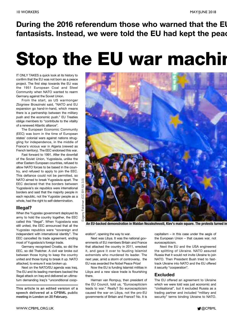**During the 2016 referendum those who warned that the EU fantasists. Instead, we were told the EU had kept the peac**

## **Stop the EU war machin**

IT ONLY TAKES a quick look at its history to confirm that the EU was not born as a peace project. The first step towards the EU was the 1951 European Coal and Steel Community when NATO wanted to rearm Germany against the Soviet Union.

From the start, as US warmonger Zbigniew Brzezinski said, "NATO and EU expansion go hand-in-hand, which means there is a partnership between the military push and the economic push." EU Treaties oblige members to "contribute to the vitality of a renewed Atlantic alliance".

The European Economic Community (EEC) was born in the time of European states' colonial wars against nations struggling for independence, in the middle of France's vicious war in Algeria (viewed as French territory). The EEC endorsed this war.

Fast forward to 1991. After the downfall of the Soviet Union, Yugoslavia, unlike the other Eastern European countries, refused to allow NATO forces to be based in the country, and refused to apply to join the EEC. This defiance could not be permitted, so NATO aimed to break Yugoslavia apart. The EEC declared that the borders between Yugoslavia's six republics were international borders and said that the majority people in each republic, not the Yugoslav people as a whole, had the right to self-determination.

#### **Illegal?**

When the Yugoslav government deployed its army to hold the country together, the EEC called this "illegal". When Yugoslavia was still united, the EEC announced that all the Yugoslav republics were "sovereign and independent with international identity". The EEC cancelled its trade agreement, ending most of Yugoslavia's foreign trade.

Germany recognised Croatia, so did the EEC, so did Thatcher. A civil war broke out between those trying to keep the country united and those trying to break it up. NATO attacked, to ensure it was broken up.

Next on the NATO/EU agenda was Iraq. The EU and its leading members backed the illegal attack on Iraq and delivered an ultimatum demanding Iraq's "unconditional coop-

This article is an edited version of a speech delivered at a CPBML public meeting in London on 20 February.



**An EU-backed demonstration in Maidan Nezalezhnosti, Kiev's main square. The protests turned in**

eration", opening the way to war.

Next was Libya. It was the national governments of EU members Britain and France that attacked the country in 2011, wrecked it, and gave it over to feuding Islamist extremists who murdered its leader. The next year, amid a storm of controversy, the EU was awarded the Nobel Peace Prize!

Now the EU is funding Islamist militias in Libya and a new slave trade is flourishing there.

Herman van Rompuy, then president of the EU Council, told us, "Euroscepticism leads to war." Really? So euroscepticism caused the war on Libya, not the pro-EU governments of Britain and France? No. It is

capitalism – in this case under the aegis of the European Union – that causes war, not euroscepticism.

Next the EU and the USA engineered the splitting of Ukraine. NATO assured Russia that it would not invite Ukraine to join NATO. Then President Bush tried to fasttrack Ukraine into NATO and the EU offered it security "cooperation".

#### **Excluded**

The EU offered an agreement to Ukraine which we were told was just economic and "civilisational", but it excluded Russia as a trading partner and included "military and security" terms binding Ukraine to NATO.

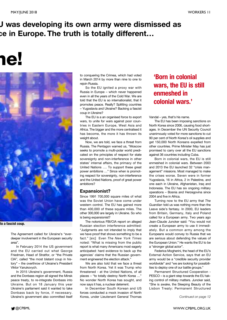### **U was developing its own army were dismissed as ce in Europe. The truth is totally different…**

## **ne!**



#### **to a fascist coup.**

The Agreement called for Ukraine's "everdeeper involvement in the European security area".

In February 2014 the US government and the EU carried out what George Friedman, Head of Stratfor, or "the Private CIA", called "the most blatant coup in history" – the overthrow of Ukraine's President Viktor Yanukovych.

In 2015 Ukraine's government, Russia and the Donbass region all signed the Minsk peace treaty, to re-integrate Donbass into Ukraine. But on 18 January this year Ukraine's parliament said it wanted to take Donbass back by force, if necessary. Ukraine's government also committed itself

to conquering the Crimea, which had voted in March 2014 by more than nine to one to rejoin Russia.

So the EU ignited a proxy war with Russia in Europe – which never happened even in all the years of the Cold War. We are told that the EU is so internationalist, that it promotes peace. Really? Splitting countries – Yugoslavia and Ukraine? Backing a fascist coup in Ukraine?

The EU is a an organised force to export wars, to unite for wars against poor countries in Eastern Europe, West Asia and Africa. The bigger and the more centralised it has become, the more it has thrown its weight about.

Now, we are told, we face a threat from Russia. The Pentagon warned us, "Moscow seeks to promote a multi-polar world predicated on the principles of respect for state sovereignty and non-interference in other states' internal affairs, the primacy of the United Nations …. To support these great power ambitions …" Since when is promoting respect for sovereignty, non-interference and the United Nations, proof of great power ambitions?

#### **Expansionist?**

Since 1991 700,000 square miles of what was the Soviet Union have come under western control. The EU has gained more than 400,000 of these square miles. The other 300,000 are largely in Ukraine. So who is being expansionist?

The notorious FBI/CIA report on alleged Russian election interference admitted: "Judgments are not intended to imply that we have proof that shows something to be a fact." [sic] Even *The New York Times* noted: "What is missing from the public report is what many Americans most eagerly anticipated: hard evidence to back up the agencies' claims that the Russian government engineered the election attack."

We are also told that we face a threat from North Korea. Yet it was Trump who threatened - at the United Nations, of all places – "to totally destroy North Korea …" No wonder North Korea has sought, and now says it has, a nuclear deterrent.

In December South Korean and US forces conducted a mock invasion of North Korea, under Lieutenant General Thomas

### **'Born in colonial wars, the EU is still enmeshed in colonial wars.'**

Vandal – yes, that's his name.

The EU has been imposing sanctions on North Korea since 2006, causing food shortages. In December the UN Security Council unanimously voted for more sanctions to cut 90 per cent of North Korea's oil supplies and get 150,000 North Koreans expelled from other countries. Prime Minister May has just promised to carry over all the EU sanctions against 36 countries including Cuba.

Born in colonial wars, the EU is still enmeshed in colonial wars. Between 2003 and 2013 the EU launched 32 "crisis management" missions. Most managed to make the crises worse. Seven were in former Yugoslavia, 16 in Africa, 2 in Palestine, and one each in Ukraine, Afghanistan, Iraq and Indonesia. The EU has six ongoing military operations – Bosnia and Herzegovina since 2004 and five in Africa.

Turning now to the EU army that *The Guardian* told us was nothing more than the Leave side's fantasy. In 2000, EU leaders from Britain, Germany, Italy and Poland called for a European army. Two years ago Jean-Claude Juncker said: "You would not create a European army to use it immediately. But a common army among the Europeans would convey to Russia that we are serious about defending the values of the European Union." He wants the EU to be a "stronger global actor".

Federica Mogherini, the head of the EU's External Action Service, says that an EU army would be a "credible security provider worldwide" and "we are looking for possibilities to deploy one of our battle groups."

Permanent Structured Cooperation - PESCO – is a giant step towards the EU taking control of military matters. Juncker said, "She is awake, the Sleeping Beauty of the Lisbon Treaty: Permanent Structured

*Continued on page 12*

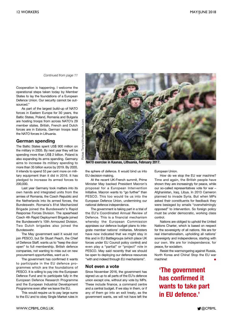*Continued from page 11*

Cooperation is happening. I welcome the operational steps taken today by Member States to lay the foundations of a European Defence Union. Our security cannot be outsourced."

As part of the largest build-up of NATO forces in Eastern Europe for 30 years, the Baltic States, Poland, Romania and Bulgaria are hosting troops from across NATO's 29 member states. British, French and Dutch forces are in Estonia. German troops lead the NATO forces in Lithuania.

#### **German spending**

The Baltic States spent US\$ 900 million on the military in 2005. By next year they will be spending more than US\$ 2 billion. Poland is also expanding its arms spending. Germany aims to increase its military spending to more than 35 billion euros by 2019. By 2020, it intends to spend 53 per cent more on military equipment than it did in 2016. It has pledged to increase its armed forces to 200,000.

Last year Germany took matters into its own hands and integrated units from the armies of Romania, the Czech Republic and the Netherlands into its armed forces, the Bundeswehr. Romania's 81st Mechanized Brigade joined the Bundeswehr's Rapid Response Forces Division. The spearhead Czech 4th Rapid Deployment Brigade joined the Bundeswehr's 10th Armoured Division. Two Dutch brigades also joined the **Bundeswehr.** 

The May government said it would not join PESCO, but Sir Stuart Peach, the Chief of Defence Staff, wants us to "keep the door open" to full membership. British defence companies, not wanting to miss out on new procurement opportunities, want us in.

The government has confirmed it wants to participate in the EU defence programmes which are the foundations of PESCO. It is willing to pay into the European Defence Fund and to participate fully in the European Defence Research Programme and the European Industrial Development Programme even after we leave the EU.

This would require us to pay large sums to the EU and to obey Single Market rules in



**NATO exercise in Kaunas, Lithuania, February 2017.**

the sphere of defence. It would bind us into EU decision-making.

At the recent UK-French summit, Prime Minister May backed President Macron's proposal for a European Intervention Initiative. Macron wants to "go further" than PESCO. This too would tie us into the European Defence Union, undermining our national defence independence.

The government is taking part in a trial of the EU's Coordinated Annual Review of Defence. This is a financial mechanism whereby the European Commission appraises our defence budget plans to integrate member nations' militaries. Ministers have now indicated that we might stay in this and in EU Battlegroups (which place UK forces under EU Council policy control) and even play a "partial" or "project" role in PESCO. May said recently that we should be open to deploying our defence resources "with and indeed through EU mechanisms".

#### **Not even a vote**

Since November 2016, the government has signed us up to all parts of the EU's defence union except one, without any vote by MPs. These include finance, a command centre and a central budget. If we stay in them, or if any of them go into an exit treaty, as the government wants, we will not have left the European Union.

How do we stop the EU war machine? Time and again, the British people have shown they are increasingly for peace, while our so-called representatives vote for war – Afghanistan, Iraq, Libya. In 2013 Cameron planned to invade Syria. But when MPs asked their constituents for feedback they were besieged by emails "overwhelmingly opposed" to intervention. So foreign policy must be under democratic, working class control.

Nations are obliged to uphold the United Nations Charter, which is based on respect for the sovereignty of all nations. We are for real internationalism, upholding all nations' sovereignty and independence, starting with our own. We are for independence, for peace, for socialism.

Resist the warmongering against Russia, North Korea and China! Stop the EU war machine! **■**

**'The government has confirmed it wants to take part in EU defence.'**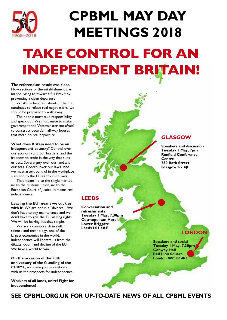

## **CPBML MAY DAY MEETINGS 2018**

## **TAKE CONTROL FOR AN INDEPENDENT BRITAIN!**

**The referendum result was clear.** Now sections of the establishment are manoeuvring to thwart a full Brexit by preventing a clean departure.

What's to be afraid about? If the EU continues to refuse real negotiations, we should be prepared to walk away.

The people must take responsibility and speak out. We must unite to make government and Westminster too afraid to construct deceitful half-way houses that mean no real departure.

**What does Britain need to be an independent country?** Control over our economy and our borders, and the freedom to trade in the way that suits us best. Sovereignty over our land and our seas. Control over our laws. And we must assert control in the workplace – an end to the EU's anti-union laws.

That means no to the single market, no to the customs union, no to the European Court of Justice. It means real independence.

**Leaving the EU means we cut ties with it.** We are not in a "divorce". We don't have to pay maintenance and we don't have to give the EU visiting rights. We will be leaving. It's that simple.

We are a country rich in skill, in science and technology, one of the largest economies in the world. Independence will liberate us from the diktats, doom and decline of the EU. We have a world to win.

**On the occasion of the 50th anniversary of the founding of the CPBML**, we invite you to celebrate with us the prospects for independence.

**Workers of all lands, unite! Fight for independence!**

**GLASGOW**

**Speakers and discussion Tuesday 1 May, 7pm Renfield Conference Centre 260 Bath Street Glasgow G2 4JP**

#### **LEEDS**

**Conversation and refreshments Tuesday 1 May, 7.30pm Cosmopolitan Hotel Lower Briggate Leeds LS1 4AE**

**LONDON**

**Speakers and social Tuesday 1 May, 7.30pm Conway Hall Red Lion Square London WC1R 4RL**

### **SEE CPBML.ORG.UK FOR UP-TO-DATE NEWS OF ALL CPBML EVENTS**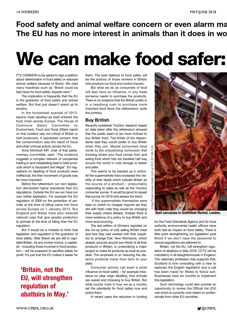### **Food safety and animal welfare concern or even alarm ma The EU has no more interest in animals than it does in wo**

## **We can make food safer:**

IT'S COMMON to be asked to sign a petition about deterioration in food safety or reduced animal welfare because of Brexit. We read many headlines such as "Brexit could be bad news for food safety, experts warn."

The implication is frequently that the EU is the guarantor of food safety and animal welfare. But that just doesn't stand up to scrutiny.

In the horsemeat scandal of 2013, equine meat labelled as beef entered the food chain across Europe. The House of Commons Select Committee on Environment, Food and Rural Affairs report on that incident was not critical of British or Irish producers. It expressed concern that the contamination was the result of fraud and other criminal activity across the EU.

Anne McIntosh MP, chair of that parliamentary committee, said: "The evidence suggests a complex network of companies trading in and mislabelling beef or beef products which is fraudulent and illegal". EU regulations on labelling of food products were ineffectual; the free movement of goods was far more important.

Before the referendum our own legislation demanded higher standards than EU regulations. Outside the EU we can have our own better legislation. For example the EU regulation of 2009 on the protection of animals at the time of killing came into force across Europe on 1 January 2013. But England and Wales have also retained national rules that give greater protection to animals at the time of killing than the EU regulation.

But it would be a mistake to think that legislation and regulation is the guarantor of food safety. After Brexit we are still in capitalist Britain. As any worker knows, a capitalist – including those involved in food production – will be prepared to sacrifice safety for profit. It's just that the EU makes it easier for

### **'Britain, not the EU, will strengthen regulation of abattoirs in May.'**

them. The best defence of food safety will be the actions of those workers in Britain who produce our food and control imports.

But what we do as consumers of food will also have an influence. In any trade someone needs to purchase the products. There is no evidence that the British public is in a headlong rush to purchase more imported food since the referendum; quite the contrary.

#### **Buy British**

Recently published YouGov research based on data taken after the referendum showed that the public seem to be more inclined to buy British food. Two-thirds of the respondents said they would prefer to buy British when they can. Maybe consumers have come to the unsurprising conclusion that knowing where your food comes from and eating food which has not travelled half way around the world in cold storage is tastier and safer.

This seems to be backed up in action. All the supermarkets have increased the visibility of their labels which indicate Britain as the source of a product – presumably responding to sales as well as the YouGov consumer survey. It would be good to repeat that survey for 2018 and assess the trend.

If the supermarkets themselves were keen to switch to cheaper imports (as they did with fresh milk) they would be changing their supply chains already. Instead there is more evidence of a policy to buy British and more local sourcing.

Jorge Royan/w

w

w.royan.com.ar (C

neyan.

.com.ar

C

BY-SA<sub>3</sub>

The last edition of *Workers* reported on the Co-op policy of only selling British meat and how they had worked with their suppliers to arrange that. Now Morrisons, which already sources around two-thirds of all their products in Britain, is undertaking a major project to make its products as local as possible. The emphasis is on reducing the distance products travel from farm to your plate.

Consumer activity can exert a small influence on food safety – for example insistence on clear origin labelling, how animals are reared and choosing to buy British. But what counts more is how we as a country set the standards for food safety now and police them.

In recent years the reduction in funding



**Beef carcasses in Smithfield Market, London.**

for the Food Standards Agency and for local authority environmental health officers have both had an impact on food safety. There is little point strengthening our legislation post Brexit if we don't have the personnel to ensure regulations are adhered to.

Britain, not the EU, will strengthen regulation of abattoirs in May 2018. CCTV will be mandatory in all slaughterhouses in England. The veterinary profession fully supports that. Scotland is now consulting with a view to replicate the English legislation and a call has been made for Wales to follow suit. Businesses have six months to implement this legislation.

Such technology could also provide an opportunity to review the Official Vet (OV) role which is currently over-reliant on professionals from other EU countries.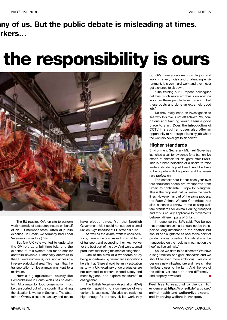## **any of us. But the public debate is misleading at times. orkers…**

## **the responsibility is ours**



The EU requires OVs on site to perform work normally of a statutory nature on behalf of an EU member state, often at public expense. In Britain we formerly had Local Veterinary Inspectors (LVIs).

But few UK vets wanted to undertake the OV role as a full-time job, and the expense of this system has made smaller abattoirs unviable. Historically abattoirs in the UK were numerous, local and accessible in every agricultural area. This meant that the transportation of live animals was kept to a minimum.

Now a big agricultural county like Pembrokeshire in South Wales has no abattoir. All animals for food consumption must be transported out of the county. If anything the situation is worse in Scotland. The abattoir on Orkney closed in January and others

have closed since. Yet the Scottish Government felt it could not support a small unit on Skye because of EU state aid rules.

As well as the animal welfare considerations, there is the cost impact on small farms of transport and occupying their key worker for the best part of the day. And worse, small producers fear losing the market altogether.

One of the aims of a workforce study being undertaken by veterinary associations here is that "there should be an investigation as to why UK veterinary undergraduates are not attracted to careers in food safety and meat hygiene, and explore measures" to change that.

The British Veterinary Association (BVA) president speaking to a conference of vets earlier this year said, "Salaries are really not high enough for the very skilled work they do. OVs have a very responsible job, and work in a very noisy and challenging environment. It is very hard work and they never get a chance to sit down.

"The training our European colleagues get has much more emphasis on abattoir work, so these people have come in, filled these posts and done an extremely good job."

Do they really need an investigation to see why this role is not attractive? Pay, conditions and training would seem a good place to start. Does the introduction of CCTV in slaughterhouses also offer an opportunity to re-design this noisy job where the workers never get to sit down?

#### **Higher standards**

Environment Secretary Michael Gove has launched a call for evidence for a ban on live export of animals for slaughter after Brexit. This is further indication of a desire to raise welfare standards post Brexit. And it is likely to be popular with the public and the veterinary profession.

The context here is that each year over four thousand sheep are transported from Britain to continental Europe for slaughter. This is the proposal that will make the headlines. However, as part of the same process, the Farm Animal Welfare Committee has also launched a review of the existing welfare standards for animals during transport and this is equally applicable to movements between different parts of Britain.

In response the BVA said: "We believe that production animals should not be transported long distances to the abattoir but should be slaughtered as near to the point of production as possible. Animals should be transported on the hook, as meat, not on the hoof, as live animals."

So, do we dare to be different? We have a long tradition of higher standards and we should be even more ambitious. We could design a new infrastructure and have smaller facilities closer to the farm. And the role of the official vet could be done differently – and properly rewarded.

Feel free to respond to the call for evidence at https://consult.defra.gov.uk/ animal-health-and-welfare/live-exportsand-improving-welfare-in-transport/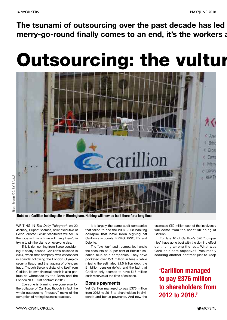**The tsunami of outsourcing over the past decade has led merry-go-round finally comes to an end, it's the workers a**

## **Outsourcing: the vultur**

![](_page_15_Picture_4.jpeg)

**Rubble: a Carillion building site in Birmingham. Nothing will now be built there for a long time.**

WRITING IN *The Daily Telegraph* on 22 January, Rupert Soames, chief executive of Serco, quoted Lenin: "capitalists will sell us the rope with which we will hang them", in trying to pin the blame on everyone else.

This is rich coming from Serco considering it nearly caused Carillion's collapse in 2014, when that company was ensconced in scandal following the London Olympics security fiasco and the tagging of offenders fraud. Though Serco is distancing itself from Carillion, its own financial health is also parlous as witnessed by the Barts and the London NHS Trust contract in 2017.

Everyone is blaming everyone else for the collapse of Carillion, though in fact the whole outsourcing "industry" reeks of the corruption of rotting business practices.

It is largely the same audit companies that failed to see the 2007-2008 banking collapse that have been signing off Carillion's accounts: KPMG, PWC, EY and Deloitte.

The "big four" audit companies handle the accounts of 90 per cent of Britain's socalled blue chip companies. They have pocketed over £71 million in fees – while missing the estimated £1.5 billion debt, the £1 billion pension deficit, and the fact that Carillion only seemed to have £17 million cash reserves at the time of collapse.

#### **Bonus payments**

Yet Carillion managed to pay £376 million from 2012 to 2016 to shareholders in dividends and bonus payments. And now the estimated £50 million cost of the insolvency will come from the asset stripping of Carillion.

To date 16 of Carillion's 326 "companies" have gone bust with the domino effect continuing among the rest. What was Carillion's core objective? Presumably securing another contract just to keep

**'Carillion managed to pay £376 million to shareholders from 2012 to 2016.'**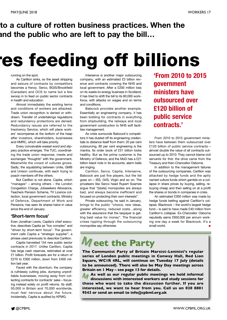### **to a culture of rotten business practices. When the and the public who are left to pay the bill…**

## **res feeding off billions**

#### running on the spot.

As Carillion sinks, so the asset stripping and seizure of contracts by competitors becomes a frenzy. Serco, BGIS/Brookfield (Canadian) and OCS to name but a few swoop in to feed on public sector contracts in health and education.

Almost immediately the existing terms and conditions of workers are attacked. Trade union recognition is denied or withdrawn. Transfer of undertakings regulations and redundancy protections are denied. Redundancy issues are referred to the Insolvency Service, which will place workers' recompense at the bottom of the heap after investors, shareholders, businesses and HMRC, which will take priority.

Every conceivable weasel word and slippery practice emerges. The TUC, coordinating the trade union response, meets and exchanges "thoughts" with the government. Meanwhile the crowd of vultures grows. Sadly, the squabbling between Unite, GMB and Unison continues, with each trying to poach members off the others.

But Carillion is not alone. Capita, which "manages" – among others – the London Congestion Charge, Jobseekers Allowance, Teachers Pension Scheme, TV Licence collection, local government contracts, Ministry of Defence, Department of Work and Pensions, has seen its shares halve in value since the end of January.

#### **'Short-term focus'**

Even Jonathan Lewis, Capita's chief executive, describes Capita as "too complex" and "driven by short-term focus". The government calls Capita a "strategic supplier", a phrase used previously to describe Carillion.

Capita harvested 154 new public sector contracts in 2017. Unlike Carillion, Capita has large cash reserves, estimated at over £1 billion. Profit forecasts are for a return of £270 to £300 million, down from £400 million last year.

Faced with the downturn, the company is ruthlessly cutting jobs, dumping unprofitable businesses, moving away from collecting contracts for contracts' sake – focusing instead solely on profit returns. Its staff, 50,000 in Britain and 70,000 worldwide, must feel nervous about the future. Incidentally, Capita is audited by KPMG.

Interserve is another major outsourcing company, with an estimated £3 billion revenue and contracts covering the NHS and local government. After a £200 million loss on its waste-to-energy business in Scotland, it has tried to shift the bill to its 80,000 workforce, with attacks on wages and on terms and conditions.

Babcock provides another example. Essentially an engineering company, it has been bidding for contracts in everything from shipbuilding, the railways and local government construction to NHS soft facilities management.

As crisis surrounds Babcock's competitors it has dusted off its engineering credentials to distance itself from them: 20 per cent outsourcing, 80 per cent engineering is the mantra. Its order book of £31 billion looks healthy. But as the prime customer is the Ministry of Defence, and the MoD has a £21 billion black hole in its accounts, alarm bells are ringing.

Carillion, Serco, Capita, Interserve, Babcock are just five players, but the list goes on – ISS, G4S, Virgin and so on. The privateers like Serco head Rupert Soames argue that "[state] monopolies are always bad, and always become inefficient and focused on protecting their own interests".

Private outsourcing, he said in January, brings to the public "choice, new ideas, greater efficiency, reduced costs…along with the assurance that the taxpayer is getting best value for money". The financial crises rippling through the outsourcing monopolies say otherwise.

**'From 2010 to 2015 government ministers have outsourced over £120 billion of public service contracts.'**

From 2010 to 2015 government ministers have between them outsourced over £120 billion of public service contracts – almost double the value of all contracts outsourced up to 2010. They cannot blame civil servants for this: the drive came from the Treasury and then-Chancellor Osborne.

In addition to the management failures of the outsourcing companies, Carillion was attacked by hedge funds and the aptly named vulture funds which gamble on a collapse in share prices by buying, selling, rebuying cheap and then selling on at a profit the shares or bonds in companies in crisis.

An estimated £300 million was made by hedge funds betting against Carillion's collapse. Blackrock – the world's largest hedge fund – is said to have made £40 million from Carillion's collapse. Ex-Chancellor Osborne reputedly earns £650,000 per annum working one day a week for Blackrock. It's a small world. **■**

## $M$  eet the Party

**The Communist Party of Britain Marxist-Leninist's regular series of London public meetings in Conway Hall, Red Lion Square, WC1R 4RL, will continue on Tuesday 17 July (details to be announced). There will also be May Day meetings across Britain on 1 May – see page 13 for details.**

**M those who want to take the discussion further. If you are As well as our regular public meetings we hold informal discussions with interested workers and study sessions for interested, we want to hear from you. Call us on 020 8801 9543 or send an email to info@cpbml.org.uk M**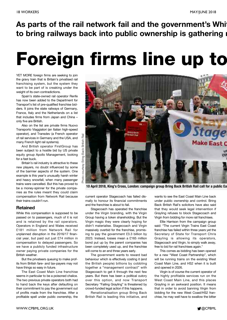### **As parts of the rail network fail and the government's Whit to bring railways back into public ownership is gathering m**

## **Foreign firms line up to**

YET MORE foreign firms are seeking to join the gravy train that is Britain's privatised rail franchising system, but the system they want to be part of is creaking under the weight of its own contradictions.

Spain's state-owned rail operator Renfe has now been added to the Department for Transport's list of pre-qualified franchise bidders. It joins the state railways of Germany, France, Italy and the Netherlands on a list that includes firms from Japan and China – only five are British.

Also on the list are private firms Nuovo Transporto Viaggiatori (an Italian high-speed operator), and Transdev (a French operator of rail services in Germany and the USA, and many French light rail systems).

And British operator FirstGroup has been subject to a hostile bid by US private equity group Apollo Management, looking for a fast buck.

Britain's rail industry is attractive to these new players, no doubt influenced by some of the barmier aspects of the system. One example is this year's unusually harsh winter and heavy snowfall, when many passenger trains were cancelled. But this has proved to be a money-spinner for the private companies as the rules meant they could claim compensation from Network Rail because their trains couldn't run.

#### **Retained**

While this compensation is supposed to be passed on to passengers, much of it is not and is retained by the rail operators. Operators in England and Wales received £181 million from Network Rail for unplanned disruption in the 2016/17 financial year, but paid out just £74 million in compensation to delayed passengers. So we have a publicly funded infrastructure owner paying private companies for the British weather.

But the privateers queuing to make profits from British fare- and tax-payers may not have things so easy in future.

The East Coast Main Line franchise seems in particular to be a poisoned chalice. The two previous private operators both had to hand back the keys after defaulting on their commitment to pay the government out of profits made from the franchise. After a profitable spell under public ownership, the

![](_page_17_Picture_13.jpeg)

**10 April 2018, King's Cross, London: campaign group Bring Back British Rail call for a public Ea**

current operator Stagecoach has failed dismally to honour its financial commitments and the franchise is about to fail.

Stagecoach has operated the franchise under the Virgin branding, with the Virgin Group having a token shareholding. But the Virgin magic they were clearly hoping for didn't materialise. Stagecoach and Virgin massively overbid for the franchise, promising to pay the government £3.3 billion by 2023. Instead, losses mean a £165 million bond put up by the parent companies has been completely used up, and the franchise will come to an end three years early.

The government wants to reward bad behaviour which is effectively costing it (and the British people) billions by cobbling together a "management contract" with Stagecoach to get it through the next few years. But there has been a political outcry over this option, and now Transport Secretary "Failing Grayling" is threatened by crowd-funded legal action if this happens.

Renationalisation group Bring Back British Rail is leading this initiative, and wants to see the East Coast Main Line back under public ownership and control. Bring Back British Rail's solicitors have also said that they would seek legal intervention if Grayling refuses to block Stagecoach and Virgin from bidding for more rail franchises.

Ellie Harrison from the campaign group said: "The current Virgin Trains East Coast franchise has failed within three years yet the Secretary of State for Transport Chris Grayling is allowing its operators, Stagecoach and Virgin, to simply walk away, free to bid for rail franchises again."

This comes as bidding has been opened for a new "West Coast Partnership", which will be running trains on the existing West Coast Main Line, and HS2 when it is built and opened in 2026.

Virgin is of course the current operator of the highly profitable services run on the West Coast Main Line, and this places Grayling in an awkward position. It means that in order to avoid banning Virgin from bidding for the new West Coast/HS2 franchise, he may well have to swallow the bitter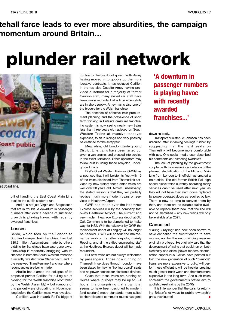### **tehall farce leads to ever more absurdities, the campaign momentum around Britain…**

## **o plunder rail network**

![](_page_18_Picture_4.jpeg)

**st Coast line.**

pill of handing the East Coast Main Line back to the public sector to run.

And it is not just Virgin and Stagecoach that are in trouble. A downturn in passenger numbers after over a decade of sustained growth is playing havoc with recently awarded franchises.

#### **Losses**

Serco, which took on the London to Scotland sleeper train franchise, has lost £30.6 million. Assumptions made by others bidding for franchises have also gone awry. FirstGroup is reportedly struggling with its finances in both the South Western franchise it recently wrested from Stagecoach, and in the renewed TransPennine franchise where redundancies are being made.

Abellio has blamed the collapse of its proposed partner Carillion for pulling out of bidding for the Welsh franchise (controlled by the Welsh Assembly) – but rumours of this pullout were circulating in November, long before the Carillion mess was revealed.

Carillion was Network Rail's biggest

contractor before it collapsed. With Amey having moved in to gobble up the more lucrative contracts, it has replaced Carillion in the top slot. Despite Amey having provided a lifeboat for a majority of former Carillion staff, many skilled rail staff have been made redundant at a time when skills are in short supply. Amey has is also one of the bidders for the Welsh franchise.

The absence of effective train procurement planning and the prevalence of short term thinking in Britain's crazy rail franchising system is now seeing nearly new trains less than three years old replaced on South Western Trains at massive taxpayer expenses, to sit in sidings and very possibly be destined for the scrapyard.

Meanwhile, old London Underground District Line trains have been tarted up, given a van engine, and pressed into service in the West Midlands. Other operators may follow suit in using these recycled underground trains.

First's Great Western Railway (GWR) has announced that it will bolster its fleet with 19 of the trains displaced from Thameslink services by new trains; these older trains are well over 30 years old. Almost unbelievably, the stated reason is that they will partially replace much more modern trains on services to Heathrow Airport.

GWR has taken over the Heathrow Express services run by the company that owns Heathrow Airport. The current and very modern Heathrow Express depot at Old Oak Common is to be demolished to make way for HS2. With the takeover by GWR the replacement depot at Langley will no longer be needed. GWR will absorb the maintenance work at its other depots, mainly Reading, and all the skilled engineering staff at the Heathrow Express depot will be made redundant.

But new trains are not always welcomed by passengers. Those now running on Thameslink services through London have been slated for having "ironing board" seats and no power sockets for electronic devices!

Given that these trains are running on routes where journeys may be up to 3-4 hours, it is unsurprising that a train that seems to have been designed to modern (and spartan!) metro standards more suited to short distance commuter routes has gone

**'A downturn in passenger numbers is playing havoc with recently awarded franchises...'**

down so badly.

Transport Minister Jo Johnson has been ridiculed after inflaming feelings further by suggesting that the hard seats on Thameslink will become more comfortable with use. One social media user described his comments as "blithering twaddle"!

The lack of planning by the government coupled with its knee-jerk cancellation of the planned electrification of the Midland Main Line from London to Sheffield has created a train crisis. The old former British Rail high speed diesel trains currently operating many services can't be used after next year as they will not have their slam doors replaced by power operated doors as required by law. There is now no time to convert them by then, and there are no suitable trains available to replace them now that the line will not be electrified – any new trains will only be available after 2021.

#### **Cancelled**

"Failing Grayling" has now been shown to have cancelled the electrification to save money, not for the unconvincing reasons originally proffered. He originally said that the development of trains that could run on both electricity and diesel power renders electrification superfluous. Critics have pointed out that the new generation of such "bi-mode" trains are more expensive to build, will perform less efficiently, will be heavier creating much greater track wear, and therefore more expensive in the long term. And such trains contradict the government's stated aim to abolish diesel trains by the 2040s.

It is little wonder that the calls for returning Britain's railways to public ownership grow ever louder!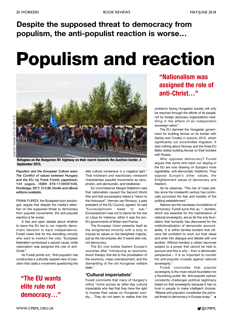## **Despite the supposed threat to democracy from populism, the anti-populist reaction is worse…**

## **Populism and reaction**

![](_page_19_Picture_5.jpeg)

**Refugees on the Hungarian M1 highway on their march towards the Austrian border, 4 September 2015.**

*Populism and the European Culture wars: The Conflict of values between Hungary and the EU***, by Frank Furedi, paperback, 144 pages, ISBN 978-1138097438, Routledge, 2017, £14.99, Kindle and eBook editions available.**

FRANK FUREDI, the Budapest-born sociologist, argues that despite the media's attention on the supposed threat to democracy from populist movements, the anti-populist reaction is far worse.

A free and open debate about whether to leave the EU led to our majority democratic decision to back independence. Furedi notes that for the dwindling minority who want to overturn the vote, "European federalism symbolized a sacred cause, while nationalism was assigned the role of anti-Christ<sup>'</sup>

As Furedi points out, "Anti-populism has constructed a culturally warped view of populism that casts a movement questioning the

**"The EU wants elite rule not democracy…"**

elite cultural consensus in a negative light." That intolerant and reactionary viewpoint characterises populist movements as xenophobic, anti-democratic, and totalitarian.

EU commissioner Margot Wallström said that nationalists caused the Second World War and that eurosceptics risked a "return to the Holocaust". Herman van Rompuy, a past president of the EU Council, agreed; he said "Euroscepticism leads to war." Euroscepticism was not to blame for the war on Libya for instance; rather it was the pro-EU governments of Britain and France.

The European Union presents itself as the enlightened minority with a duty to impose its values on the benighted majority, just as the old empires did. It wants elite rule, not democracy.

The EU now bullies Eastern Europe's countries after "introducing an economic shock therapy that led to the privatisation of the economy, mass unemployment, and the dismantling of the old Hungarian welfare state."

#### **'Cultural imperialists'**

Furedi comments that many of Hungary's critics "come across as latter-day cultural imperialists who feel that they have the right to impose their values on Hungarian society.... They do not seem to realize that the

**"Nationalism was assigned the role of anti-Christ…"**

problems facing Hungarian society will only be resolved through the efforts of its people, not by foreign advocacy organizations meddling in the affairs of an independent sovereign nation."

The EU damned the Hungarian government for building fences on its border with Serbia and Croatia in autumn 2015, which significantly cut uncontrolled migration. It said nothing about Norway and the three EU Baltic states building fences on their borders with Russia.

Who opposes democracy? Furedi argues that some who back our staying in the EU are now drawing on Europe's more regrettable, anti-democratic traditions. They oppose Europe's other values, the Enlightenment values of democracy and freedom.

As he observes, "The rise of mass politics since the nineteenth century has continually provoked the fear and hostility of the political establishment."

Nations are the necessary foundations of democracy. Furedi sums this up, "...borders, which are essential for the maintenance of national sovereignty, are so far the only foundation that humanity has discovered for the institutionalization of democratic accountability. It is within familiar borders that citizens felt confident to work out their ideas and enter into dialogue and debate with one another. Without borders a citizen becomes subject to a power that cannot be held to account and this is why – from a democratic perspective – it is so important to counter the anti-populist crusade against national sovereignty.'

Furedi concludes that popular sovereignty is the most robust foundation for a flourishing public life. Anti-populist opinion constantly challenges political legitimacy based on that sovereignty because it has no trust in people to make intelligent choices. "Illiberal anti-populism constitutes the principal threat to democracy in Europe today." **■**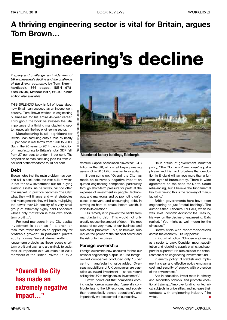## **A thriving engineering sector is vital for Britain, argues Tom Brown…**

## **Engineering's decline**

*Tragedy and challenge: an inside view of UK engineering's decline and the challenge of the Brexit economy***, by Tom Brown, hardback, 366 pages, ISBN 978- 1788035316, Matador 2017, £19.99, Kindle edition also available.**

THIS SPLENDID book is full of ideas about how Britain can succeed as an independent country. Tom Brown worked in engineering businesses for his entire 45-year career. Throughout the book he stresses the vital importance of a thriving manufacturing sector, especially the key engineering sector.

Manufacturing is still significant for Britain. Manufacturing output rose by nearly 50 per cent in real terms from 1970 to 2000. But in the 20 years to 2014 the contribution of manufacturing to Britain's total GDP fell, from 27 per cent to under 11 per cent. The proportion of manufacturing jobs fell from 29 per cent of the workforce to 10 per cent.

#### **Debt**

Brown notes that the main problem has been and still is bank debt, the vast bulk of which is not for new investment but for buying existing assets. As he writes, "all too often 'the market' in practice becomes 'the City', what they will finance and what strategies and managements they will back, multiplying the power over UK society of a very small group of extremely highly paid Londoners whose only motivation is their own shortterm profit …".

For fund managers in the City capital investment is seen as "...a drain on resources rather than as an opportunity for profitable growth". In particular, private equity houses "invest almost nothing in longer-term projects...as these reduce shortterm profit and cash and are unlikely to assist their all-important exit valuation." In 2014 members of the British Private Equity &

### **"Overall the City has made an extremely negative impact…"**

![](_page_20_Picture_12.jpeg)

**Abandoned factory buildings, Edinburgh.**

Venture Capital Association "invested" £4.3 billion in the UK, almost all buying existing assets. Only £0.3 billion was venture capital.

Brown sums up: "Overall the City has made an extremely negative impact on quoted engineering companies, particularly through short-term pressure for profit at the expense of investment in people, technology, and marketing, and by promoting unfocused takeovers, and encouraging debt. In striving so hard to create instant wealth, it inhibits its creation."

His remedy is to prevent the banks from manufacturing debt. This would not only greatly reduce the amount of debt – "the root cause of so very many of our business and also social problems" – but, he believes, also reduce the power of the financial sector and the risk of further crises.

#### **Foreign ownership**

Foreign ownership now accounts for half our national engineering output. In 1973 foreignowned companies produced only 15 per cent of manufacturing value added. Overseas acquisitions of UK companies are classified as inward investment – "so we record selling the UK to foreigners as 'investment'."

Brown points out that companies coming under foreign ownership "generally contribute less to the UK economy and society than domestically owned operations", and importantly we lose control of our destiny.

He is critical of government industrial policy, "The 'Northern Powerhouse' is just a phrase, and it is hard to believe that devolution in England will achieve more than a further layer of bureaucracy. There is wide agreement on the need for North-South rebalancing, but I believe the fundamental key to achieving this is the recovery of manufacturing."

British governments here have seen engineering as just "metal bashing". The author asked Labour's Ed Balls, when he was Chief Economic Advisor to the Treasury, his view on the decline of engineering. Balls replied, "You might as well mourn for the dinosaurs."

Brown ends with recommendations across the economy. His key points:

In industrial policy: "Choose engineering as a sector to back. Consider import substitution and rebuilding supply chains, and support for exporter." He also calls for the establishment of an engineering investment fund .

In energy policy: "Establish and implement a clear and effective policy embracing cost and security of supply, with protection of the environment."

And in education, invest more in primary and secondary schools, and promote vocational training…"Improve funding for technical subjects in universities, and increase their contacts with engineering industry," he writes. **■**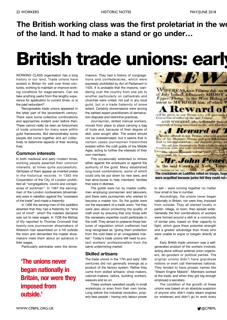## **The British working class was the first proletariat in the wo of the land. It had to make a stand or go under…**

## **British trade unions: early**

WORKING CLASS organisation has a long history in our land. Trade unions have existed in Britain for well over three centuries, working to maintain or improve working conditions for wage-earners. Can we take anything useful from this lengthy experience for application to current times, or is the past redundant?

Recognisable trade unions appeared in the latter part of the seventeenth century. There were some collective combinations and approaches evident even before then. These cannot really be seen as forerunners of trade unionism for many were within guild frameworks. But demonstrably some people did come together and act collectively to determine aspects of their working lives.

#### **Common interests**

In both medieval and early modern times, working people asserted their common interests, at times quite successfully. Glimpses of them appear as inverted praise in the historical records. In 1383 the Corporation of the City of London prohibited all "congregations, covins and conspiracies of workmen". In 1387 the servingmen of the London cordwainers (shoemakers) were in rebellion against the "overseers of the trade" and made a fraternity.

In 1406 the serving-men of the saddlers asserted that they had a fraternity for "time out of mind", which the masters declared was out to raise wages. In 1538 the Bishop of Ely reported to Thomas Cromwell that twenty-one journeymen shoemakers of Wisbech had assembled on a hill outside the town and demanded the master shoemakers meet them about an advance in their wages.

Particularly admirable were the stone-

### **'The unions never began nationally in Britain, nor were they imposed from outside.'**

masons. They had a history of congregations and confederacies, which were expressly prohibited by Act of Parliament in 1425. It is probable that the masons, wandering over the country from one job to another particularly on cathedrals and churches were united, not just in any local guild, but in a trade fraternity of some extent. Certainly stonemasons were among the earliest expert practitioners of demarcation disputes and restrictive practices.

Journeymen, skilled manual workers, moved from place to place carrying a bag of tools and, because of their degree of skill, were sought after. The extent should not be overestimated, but it seems that in certain cases journeymen fraternities existed within the craft guilds of the Middle Ages, acting to further the interests of their own members.

This occasionally extended to strikes either against the employers or against the authority of the guild. Many established long-lived combinations, some of which could only be put down by new laws, and had alms-boxes to help members' families that were in distress.

The guilds were run by master craftsmen employing journeymen and labourers, and there were journeymen who wished to become a master too. So the guilds were not the equivalent of a trade union. Yet they were also about protecting the quality of craft work by ensuring that only those with the necessary expertise could participate in the craft. They aimed to preserve those features of regulation which craftsmen had long recognised as "giving them protection from the cold blast of an unregulated market." Today's trade unions still need to protect workers' professionalism from the same undermining market.

#### **Skilled artisans**

The trade unions in the 17th and early 18th centuries did not generally emerge as a product of the factory system. Rather they came from skilled artisans: shoe-makers, cabinet-makers, tailors, building workers, weavers and so on.

These workers operated usually in small workshops or even from their own home. Long before the industrial revolution, property-less people – having only labour power

![](_page_21_Picture_19.jpeg)

to sell – were coming together no matter how small or few in number.

Accordingly, the unions never began nationally in Britain, nor were they imposed from outside. They all started locally in parish, village, or town, then spread wider. Generally the first combinations of workers were formed around a skill or a community of similar jobs, based on their capacity to fight, which gave them potential strength and a greater advantage than those who were unable to argue or bargain directly at all.

Early British trade unionism was a selfgenerated product of the workers involved, acting alone without external union organisers, do-gooders or political parties. The original unions didn't have grandiose notions or even call themselves national. They tended to have prosaic names like "Steam Engine Makers". Members worked at the trade, and when they got big enough employed a secretary.

The condition of the growth of these unions was based on an absolute suspicion of anyone who didn't make steam engines (or whatever) and didn't go to work every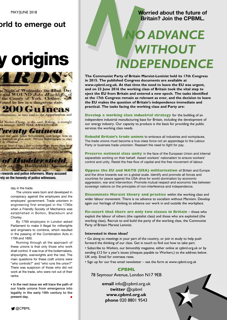### **orld to emerge out**

## **y origins**

![](_page_22_Picture_3.jpeg)

to Night of Wednesday the 22nd. Day t and WOUND John Hinchliffs of the County of York. Clothier. with ound he lies in a dangerous state.

### **200 Guineas**

aformation, as may lead to the Apprehention and

of Neduce Thong, in the said Rading, a smangly<br>in attempt AND HAS ABSCONDED.

#### *renty Guineas*

and the said John Scholendd, and Jolge him in

and at Yours of April 2 Days on Indian High, Boson Hair, Days<br>and Gian conferences and Level approach have Parameter aformation. Approbations and Conversion as above

of Harider shield. mer to the Hudder-field Association

**e rewards and police informers. Many accused rely on the honesty of police witnesses.**

day in the trade.

The unions were born and developed in conspiracy against the employers and the employers' government. Trade unionism in engineering first emerged in the 1780s when a Friendly Society of Mechanics was established in Bolton, Blackburn and Chorley.

By 1799 employers in London asked Parliament to make it illegal for millwrights and engineers to combine, which resulted in the passing of the Combination Acts in 1799 and 1800.

Running through all the approach of these unions is that only those who work shall control. It was true of the boilermakers, shipwrights, wainwrights and the rest. The main questions for these craft unions were "who controls?" and "who runs the union?" There was suspicion of those who did not work at the trade, who were not out of their ranks.

**• In the next issue we will trace the path of our trade unions from emergence into legality in the early 19th century to the present day. ■**

#### **Worried about the future of Britain? Join the CPBML.**

# Worried about the future of Britain? Join the CPBML. *WITHOUT INDEPENDENCE*

**The Communist Party of Britain Marxist-Leninist held its 17th Congress in 2015. The published Congress documents are available at www.cpbml.org.uk. At that time the need to leave the EU was urgent, and on 23 June 2016 the working class of Britain took the vital step to eject the EU from Britain and entered a new epoch. The tasks identified at the 17th Congress remain as relevant as ever, and the decision to leave the EU makes the question of Britain's independence immediate and practical. The tasks facing the working class and Party are:**

**Develop a working class industrial strategy** for the building of an independent industrial manufacturing base for Britain, including the development of our energy industry. Our capacity to produce is the basis for providing the public services the working class needs.

**Rebuild Britain's trade unions** to embrace all industries and workplaces. The trade unions must become a true class force not an appendage to the Labour Party or business trade unionism. Reassert the need to fight for pay.

**Preserve national class unity** in the face of the European Union and internal separatists working on their behalf. Assert workers' nationalism to ensure workers' control and unity. Resist the free flow of capital and the free movement of labour.

**Oppose the EU and NATO (USA) militarisation** of Britain and Europe and the drive towards war on a global scale. Identify and promote all forces and countries for peace against the USA drive for world domination by economic aggression, war and intervention. Promote mutual respect and economic ties between sovereign nations on the principles of non-interference and independence.

**Disseminate Marxist theory and practice** within the working class and wider labour movement. There is no advance to socialism without Marxism. Develop again our heritage of thinking to advance our work in and outside the workplace.

**Re-assert that there are only two classes in Britain** – those who exploit the labour of others (the capitalist class) and those who are exploited (the working class). Recruit to and build the party of the working class, the Communist Party of Britain Marxist Leninist.

#### **Interested in these ideas?**

• Go along to meetings in your part of the country, or join in study to help push forward the thinking of our class. Get in touch to find out how to take part.

• Subscribe to *Workers*, our bimonthly magazine, either online at cpbml.org.uk or by sending £12 for a year's issues (cheques payable to Workers.) to the address below. UK only. Email for overseas rates.

• Sign up for our free email newsletter – see the form at www.cpbml.org.uk

#### **CPBML**

78 Seymour Avenue, London N17 9EB

**email** info@cpbml.org.uk **twitter** @cpbml **www.cpbml.org.uk phone** 020 8801 9543

![](_page_22_Picture_34.jpeg)